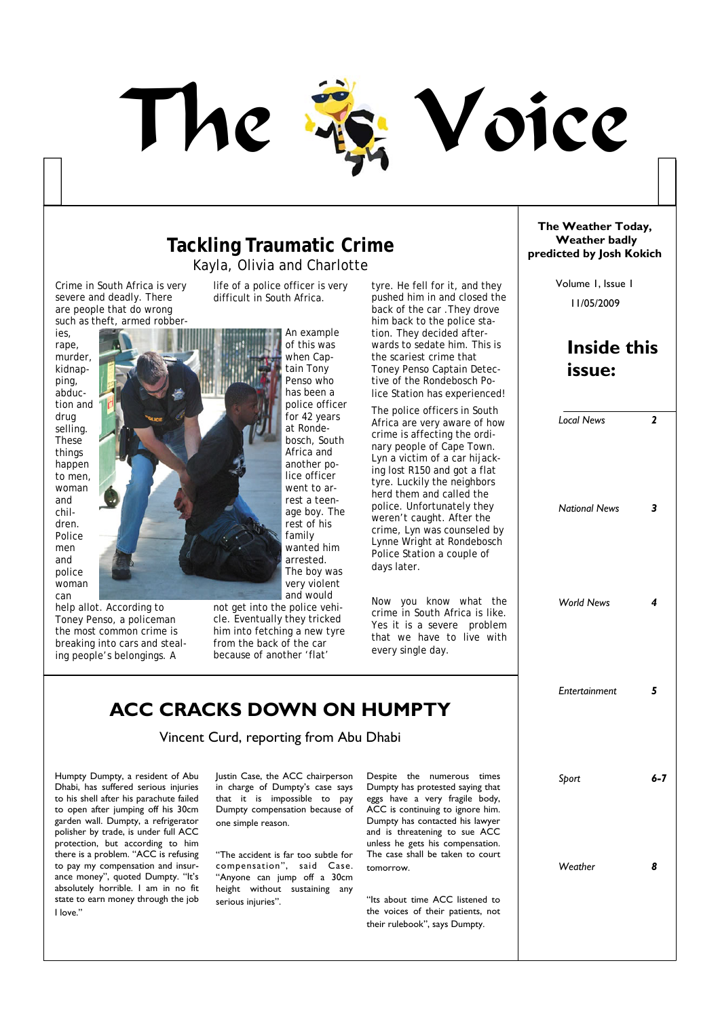

#### **Tackling Traumatic Crime** Kayla, Olivia and Charlotte

life of a police officer is very difficult in South Africa.

An example

Crime in South Africa is very severe and deadly. There are people that do wrong such as theft, armed robber-

ies, rape, murder, kidnapping, abduction and drug selling. These things happen to men, woman and children. Police men and police woman can



help allot. According to Toney Penso, a policeman the most common crime is breaking into cars and stealing people's belongings. A

not get into the police vehicle. Eventually they tricked him into fetching a new tyre from the back of the car because of another 'flat'

tyre. He fell for it, and they pushed him in and closed the back of the car .They drove him back to the police station. They decided afterwards to sedate him. This is the scariest crime that Toney Penso Captain Detective of the Rondebosch Police Station has experienced!

The police officers in South Africa are very aware of how crime is affecting the ordinary people of Cape Town. Lyn a victim of a car hijacking lost R150 and got a flat tyre. Luckily the neighbors herd them and called the police. Unfortunately they weren't caught. After the crime, Lyn was counseled by Lynne Wright at Rondebosch Police Station a couple of days later.

Now you know what the crime in South Africa is like. Yes it is a severe problem that we have to live with every single day.

### **ACC CRACKS DOWN ON HUMPTY**

Vincent Curd, reporting from Abu Dhabi

Humpty Dumpty, a resident of Abu Dhabi, has suffered serious injuries to his shell after his parachute failed to open after jumping off his 30cm garden wall. Dumpty, a refrigerator polisher by trade, is under full ACC protection, but according to him there is a problem. "ACC is refusing to pay my compensation and insurance money", quoted Dumpty. "It's absolutely horrible. I am in no fit state to earn money through the job I love."

Justin Case, the ACC chairperson in charge of Dumpty's case says that it is impossible to pay Dumpty compensation because of one simple reason.

"The accident is far too subtle for compensation", said Case. "Anyone can jump off a 30cm height without sustaining any serious injuries".

Despite the numerous times Dumpty has protested saying that eggs have a very fragile body, ACC is continuing to ignore him. Dumpty has contacted his lawyer and is threatening to sue ACC unless he gets his compensation. The case shall be taken to court tomorrow.

"Its about time ACC listened to the voices of their patients, not their rulebook", says Dumpty.

#### **The Weather Today, Weather badly predicted by Josh Kokich**

11/05/2009 Volume 1, Issue 1

### **Inside this issue:**

| <b>Local News</b>    | $\mathbf{z}$   |
|----------------------|----------------|
| <b>National News</b> | 3              |
| <b>World News</b>    | $\overline{4}$ |
| Entertainment        | 5              |
| Sport                | $6 - 7$        |
| Weather              | 8              |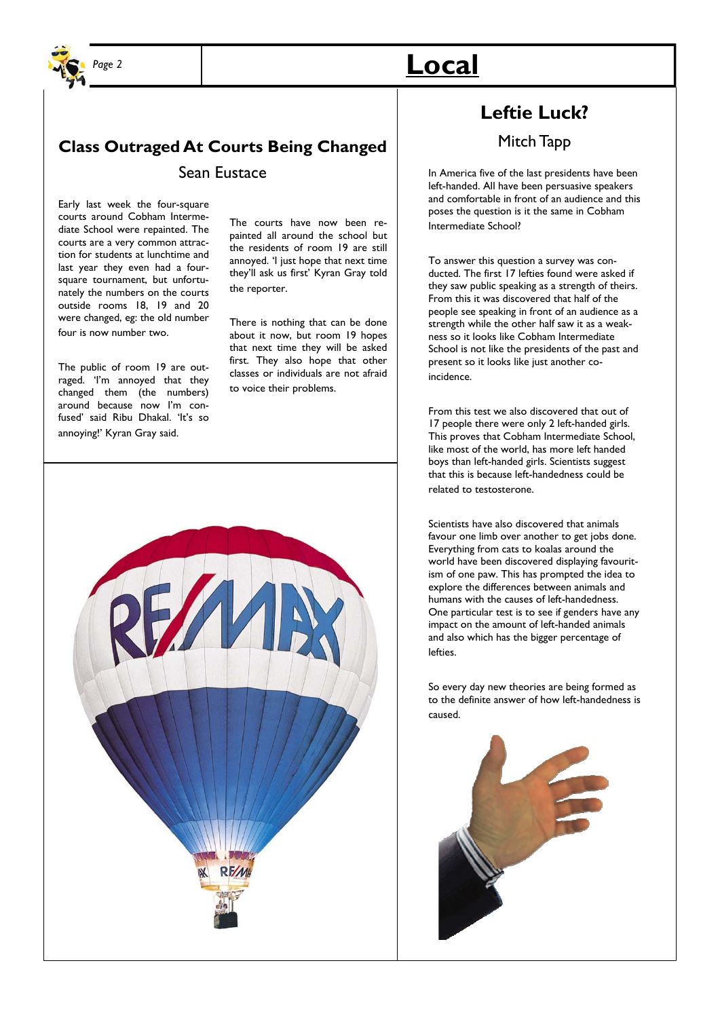

### **Class Outraged At Courts Being Changed**  Sean Eustace

Early last week the four-square courts around Cobham Intermediate School were repainted. The courts are a very common attraction for students at lunchtime and last year they even had a foursquare tournament, but unfortunately the numbers on the courts outside rooms 18, 19 and 20 were changed, eg: the old number four is now number two.

The public of room 19 are outraged. 'I'm annoyed that they changed them (the numbers) around because now I'm confused' said Ribu Dhakal. 'It's so annoying!' Kyran Gray said.

The courts have now been repainted all around the school but the residents of room 19 are still annoyed. 'I just hope that next time they'll ask us first' Kyran Gray told the reporter.

There is nothing that can be done about it now, but room 19 hopes that next time they will be asked first. They also hope that other classes or individuals are not afraid to voice their problems.



## *Page 2* **Local**

### **Leftie Luck?**

#### Mitch Tapp

In America five of the last presidents have been left-handed. All have been persuasive speakers and comfortable in front of an audience and this poses the question is it the same in Cobham Intermediate School?

To answer this question a survey was conducted. The first 17 lefties found were asked if they saw public speaking as a strength of theirs. From this it was discovered that half of the people see speaking in front of an audience as a strength while the other half saw it as a weakness so it looks like Cobham Intermediate School is not like the presidents of the past and present so it looks like just another coincidence.

From this test we also discovered that out of 17 people there were only 2 left-handed girls. This proves that Cobham Intermediate School, like most of the world, has more left handed boys than left-handed girls. Scientists suggest that this is because left-handedness could be related to testosterone.

Scientists have also discovered that animals favour one limb over another to get jobs done. Everything from cats to koalas around the world have been discovered displaying favouritism of one paw. This has prompted the idea to explore the differences between animals and humans with the causes of left-handedness. One particular test is to see if genders have any impact on the amount of left-handed animals and also which has the bigger percentage of lefties.

So every day new theories are being formed as to the definite answer of how left-handedness is caused.

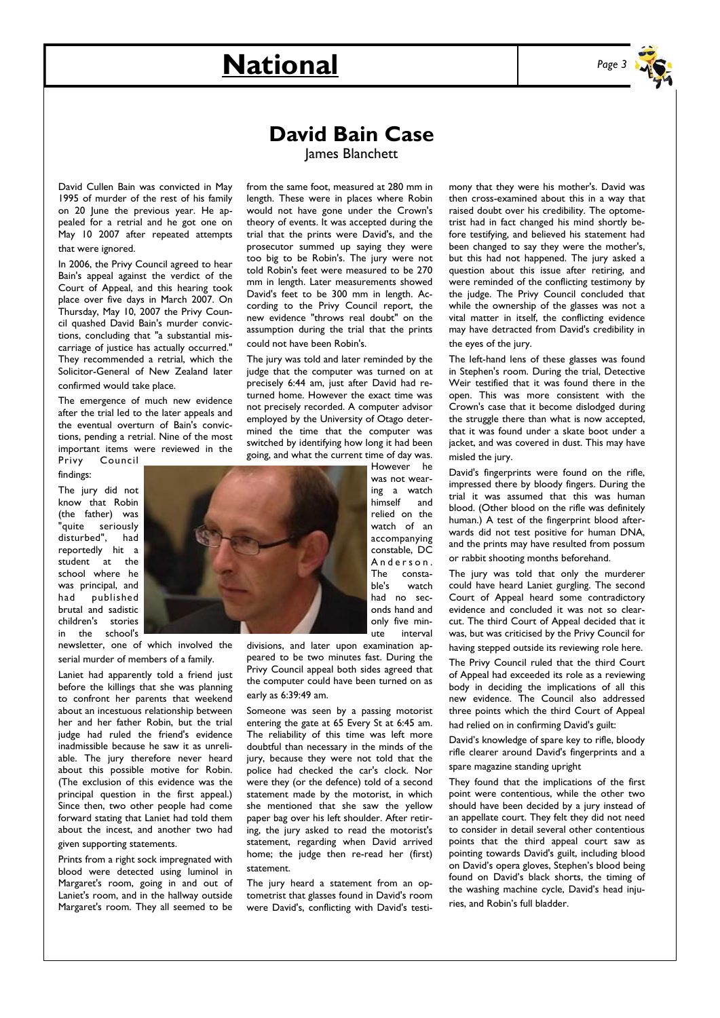# **National** *Page 3*



**David Bain Case** 

David Cullen Bain was convicted in May 1995 of murder of the rest of his family on 20 June the previous year. He appealed for a retrial and he got one on May 10 2007 after repeated attempts that were ignored.

In 2006, the Privy Council agreed to hear Bain's appeal against the verdict of the Court of Appeal, and this hearing took place over five days in March 2007. On Thursday, May 10, 2007 the Privy Council quashed David Bain's murder convictions, concluding that "a substantial miscarriage of justice has actually occurred." They recommended a retrial, which the Solicitor-General of New Zealand later confirmed would take place.

The emergence of much new evidence after the trial led to the later appeals and the eventual overturn of Bain's convictions, pending a retrial. Nine of the most important items were reviewed in the Privy Council

findings:

The jury did not know that Robin (the father) was "quite seriously disturbed", had reportedly hit a student at the school where he was principal, and had published brutal and sadistic children's stories in the school's

newsletter, one of which involved the serial murder of members of a family.

Laniet had apparently told a friend just before the killings that she was planning to confront her parents that weekend about an incestuous relationship between her and her father Robin, but the trial judge had ruled the friend's evidence inadmissible because he saw it as unreliable. The jury therefore never heard about this possible motive for Robin. (The exclusion of this evidence was the principal question in the first appeal.) Since then, two other people had come forward stating that Laniet had told them about the incest, and another two had given supporting statements.

Prints from a right sock impregnated with blood were detected using luminol in Margaret's room, going in and out of Laniet's room, and in the hallway outside Margaret's room. They all seemed to be James Blanchett

from the same foot, measured at 280 mm in length. These were in places where Robin would not have gone under the Crown's theory of events. It was accepted during the trial that the prints were David's, and the prosecutor summed up saying they were too big to be Robin's. The jury were not told Robin's feet were measured to be 270 mm in length. Later measurements showed David's feet to be 300 mm in length. According to the Privy Council report, the new evidence "throws real doubt" on the assumption during the trial that the prints could not have been Robin's.

The jury was told and later reminded by the judge that the computer was turned on at precisely 6:44 am, just after David had returned home. However the exact time was not precisely recorded. A computer advisor employed by the University of Otago determined the time that the computer was switched by identifying how long it had been going, and what the current time of day was.

However he was not wearing a watch himself and relied on the watch of an accompanying constable, DC A n d e r s o n . The constable's watch had no seconds hand and only five minute interval

divisions, and later upon examination appeared to be two minutes fast. During the Privy Council appeal both sides agreed that the computer could have been turned on as early as 6:39:49 am.

Someone was seen by a passing motorist entering the gate at 65 Every St at 6:45 am. The reliability of this time was left more doubtful than necessary in the minds of the jury, because they were not told that the police had checked the car's clock. Nor were they (or the defence) told of a second statement made by the motorist, in which she mentioned that she saw the yellow paper bag over his left shoulder. After retiring, the jury asked to read the motorist's statement, regarding when David arrived home; the judge then re-read her (first) statement.

The jury heard a statement from an optometrist that glasses found in David's room were David's, conflicting with David's testimony that they were his mother's. David was then cross-examined about this in a way that raised doubt over his credibility. The optometrist had in fact changed his mind shortly before testifying, and believed his statement had been changed to say they were the mother's, but this had not happened. The jury asked a question about this issue after retiring, and were reminded of the conflicting testimony by the judge. The Privy Council concluded that while the ownership of the glasses was not a vital matter in itself, the conflicting evidence may have detracted from David's credibility in the eyes of the jury.

The left-hand lens of these glasses was found in Stephen's room. During the trial, Detective Weir testified that it was found there in the open. This was more consistent with the Crown's case that it become dislodged during the struggle there than what is now accepted, that it was found under a skate boot under a jacket, and was covered in dust. This may have misled the jury.

David's fingerprints were found on the rifle, impressed there by bloody fingers. During the trial it was assumed that this was human blood. (Other blood on the rifle was definitely human.) A test of the fingerprint blood afterwards did not test positive for human DNA, and the prints may have resulted from possum or rabbit shooting months beforehand.

The jury was told that only the murderer could have heard Laniet gurgling. The second Court of Appeal heard some contradictory evidence and concluded it was not so clearcut. The third Court of Appeal decided that it was, but was criticised by the Privy Council for having stepped outside its reviewing role here.

The Privy Council ruled that the third Court of Appeal had exceeded its role as a reviewing body in deciding the implications of all this new evidence. The Council also addressed three points which the third Court of Appeal had relied on in confirming David's guilt:

David's knowledge of spare key to rifle, bloody rifle clearer around David's fingerprints and a spare magazine standing upright

They found that the implications of the first point were contentious, while the other two should have been decided by a jury instead of an appellate court. They felt they did not need to consider in detail several other contentious points that the third appeal court saw as pointing towards David's guilt, including blood on David's opera gloves, Stephen's blood being found on David's black shorts, the timing of the washing machine cycle, David's head injuries, and Robin's full bladder.

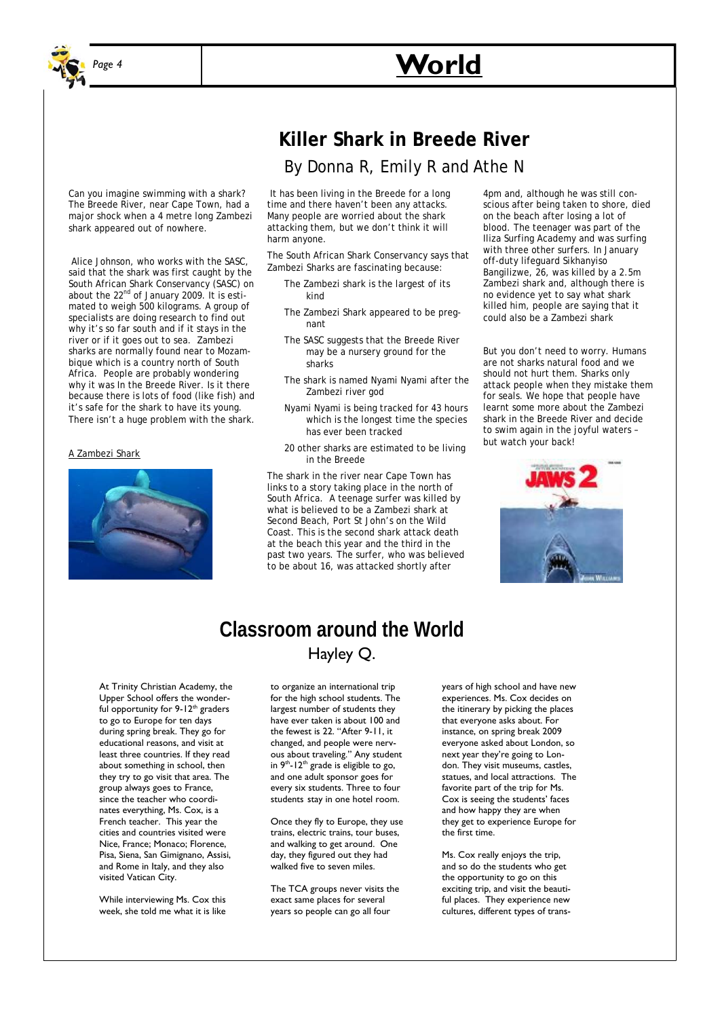

Can you imagine swimming with a shark? The Breede River, near Cape Town, had a major shock when a 4 metre long Zambezi

 Alice Johnson, who works with the SASC, said that the shark was first caught by the South African Shark Conservancy (SASC) on about the 22<sup>nd</sup> of January 2009. It is estimated to weigh 500 kilograms. A group of specialists are doing research to find out why it's so far south and if it stays in the river or if it goes out to sea. Zambezi sharks are normally found near to Mozambique which is a country north of South Africa. People are probably wondering why it was In the Breede River. Is it there because there is lots of food (like fish) and it's safe for the shark to have its young. There isn't a huge problem with the shark.

shark appeared out of nowhere.

A Zambezi Shark

## **Killer Shark in Breede River**  By Donna R, Emily R and Athe N

 It has been living in the Breede for a long time and there haven't been any attacks. Many people are worried about the shark attacking them, but we don't think it will harm anyone.

The South African Shark Conservancy says that Zambezi Sharks are fascinating because:

- The Zambezi shark is the largest of its kind
- The Zambezi Shark appeared to be pregnant
- The SASC suggests that the Breede River may be a nursery ground for the sharks
- The shark is named Nyami Nyami after the Zambezi river god
- Nyami Nyami is being tracked for 43 hours which is the longest time the species has ever been tracked
- 20 other sharks are estimated to be living in the Breede

The shark in the river near Cape Town has links to a story taking place in the north of South Africa. A teenage surfer was killed by what is believed to be a Zambezi shark at Second Beach, Port St John's on the Wild Coast. This is the second shark attack death at the beach this year and the third in the past two years. The surfer, who was believed to be about 16, was attacked shortly after

4pm and, although he was still conscious after being taken to shore, died on the beach after losing a lot of blood. The teenager was part of the Iliza Surfing Academy and was surfing with three other surfers. In January off-duty lifeguard Sikhanyiso Bangilizwe, 26, was killed by a 2.5m Zambezi shark and, although there is no evidence yet to say what shark killed him, people are saying that it could also be a Zambezi shark

But you don't need to worry. Humans are not sharks natural food and we should not hurt them. Sharks only attack people when they mistake them for seals. We hope that people have learnt some more about the Zambezi shark in the Breede River and decide to swim again in the joyful waters – but watch your back!



### **Classroom around the World**  Hayley Q.

At Trinity Christian Academy, the Upper School offers the wonderful opportunity for  $9-12^{th}$  graders to go to Europe for ten days during spring break. They go for educational reasons, and visit at least three countries. If they read about something in school, then they try to go visit that area. The group always goes to France, since the teacher who coordinates everything, Ms. Cox, is a French teacher. This year the cities and countries visited were Nice, France; Monaco; Florence, Pisa, Siena, San Gimignano, Assisi, and Rome in Italy, and they also visited Vatican City.

While interviewing Ms. Cox this week, she told me what it is like to organize an international trip for the high school students. The largest number of students they have ever taken is about 100 and the fewest is 22. "After 9-11, it changed, and people were nervous about traveling." Any student in  $9<sup>th</sup>$ -12<sup>th</sup> grade is eligible to go, and one adult sponsor goes for every six students. Three to four students stay in one hotel room.

Once they fly to Europe, they use trains, electric trains, tour buses, and walking to get around. One day, they figured out they had walked five to seven miles.

The TCA groups never visits the exact same places for several years so people can go all four

years of high school and have new experiences. Ms. Cox decides on the itinerary by picking the places that everyone asks about. For instance, on spring break 2009 everyone asked about London, so next year they're going to London. They visit museums, castles, statues, and local attractions. The favorite part of the trip for Ms. Cox is seeing the students' faces and how happy they are when they get to experience Europe for the first time.

Ms. Cox really enjoys the trip, and so do the students who get the opportunity to go on this exciting trip, and visit the beautiful places. They experience new cultures, different types of trans-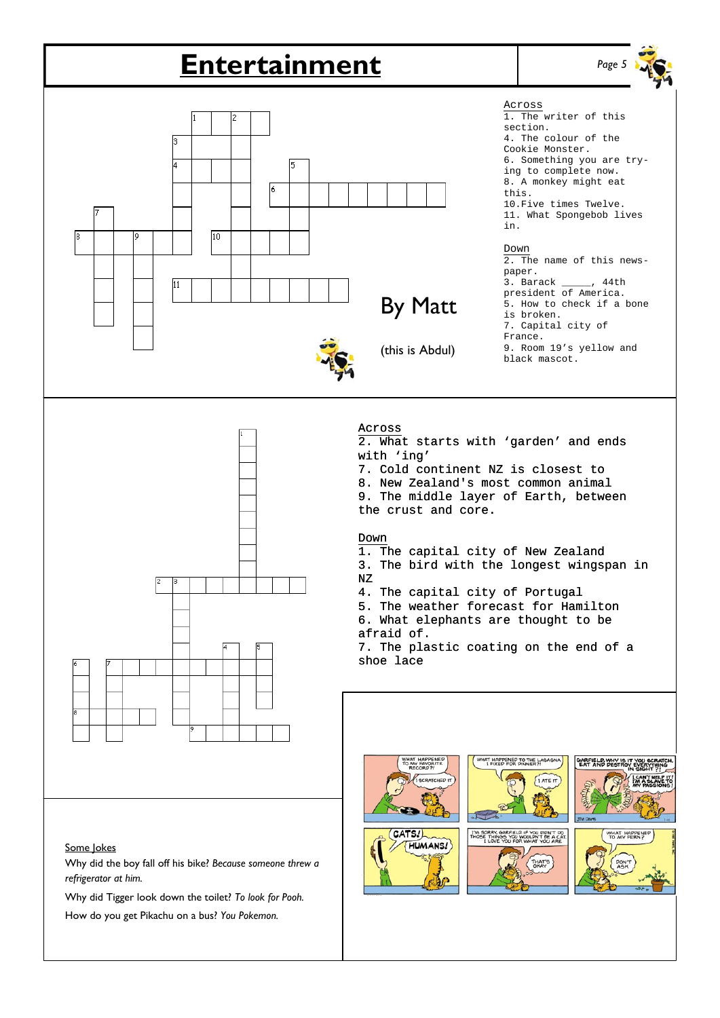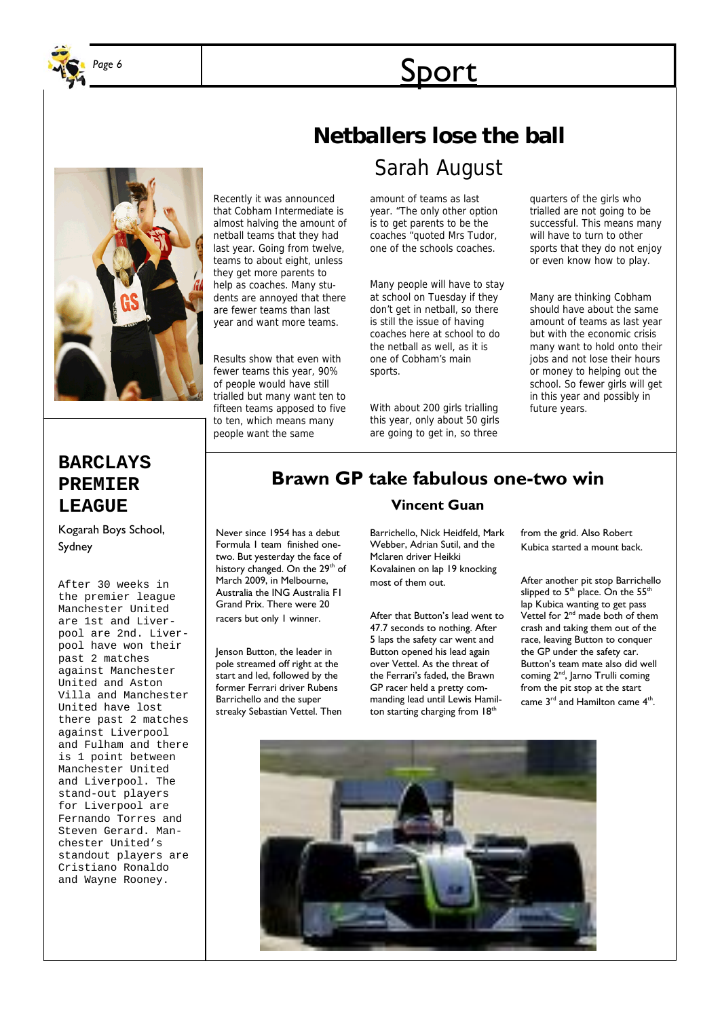

# **Sport**



## **Netballers lose the ball**

Sarah August

amount of teams as last year. "The only other option is to get parents to be the coaches "quoted Mrs Tudor, one of the schools coaches.

Many people will have to stay at school on Tuesday if they don't get in netball, so there is still the issue of having coaches here at school to do the netball as well, as it is one of Cobham's main sports.

With about 200 girls trialling this year, only about 50 girls are going to get in, so three

quarters of the girls who trialled are not going to be successful. This means many will have to turn to other sports that they do not enjoy or even know how to play.

Many are thinking Cobham should have about the same amount of teams as last year but with the economic crisis many want to hold onto their jobs and not lose their hours or money to helping out the school. So fewer girls will get in this year and possibly in future years.

### **BARCLAYS PREMIER LEAGUE**

Kogarah Boys School, Sydney

After 30 weeks in the premier league Manchester United are 1st and Liverpool are 2nd. Liverpool have won their past 2 matches against Manchester United and Aston Villa and Manchester United have lost there past 2 matches against Liverpool and Fulham and there is 1 point between Manchester United and Liverpool. The stand-out players for Liverpool are Fernando Torres and Steven Gerard. Manchester United's standout players are Cristiano Ronaldo and Wayne Rooney.

## **Brawn GP take fabulous one-two win**

Never since 1954 has a debut Formula 1 team finished onetwo. But yesterday the face of history changed. On the 29<sup>th</sup> of March 2009, in Melbourne, Australia the ING Australia F1 Grand Prix. There were 20 racers but only 1 winner.

Recently it was announced that Cobham Intermediate is almost halving the amount of netball teams that they had last year. Going from twelve, teams to about eight, unless they get more parents to help as coaches. Many students are annoyed that there are fewer teams than last year and want more teams.

Results show that even with fewer teams this year, 90% of people would have still trialled but many want ten to fifteen teams apposed to five to ten, which means many people want the same

Jenson Button, the leader in pole streamed off right at the start and led, followed by the former Ferrari driver Rubens Barrichello and the super streaky Sebastian Vettel. Then

#### **Vincent Guan**

Barrichello, Nick Heidfeld, Mark Webber, Adrian Sutil, and the Mclaren driver Heikki Kovalainen on lap 19 knocking most of them out.

After that Button's lead went to 47.7 seconds to nothing. After 5 laps the safety car went and Button opened his lead again over Vettel. As the threat of the Ferrari's faded, the Brawn GP racer held a pretty commanding lead until Lewis Hamilton starting charging from 18<sup>th</sup>

from the grid. Also Robert Kubica started a mount back.

After another pit stop Barrichello slipped to  $5<sup>th</sup>$  place. On the  $55<sup>th</sup>$ lap Kubica wanting to get pass Vettel for  $2<sup>nd</sup>$  made both of them crash and taking them out of the race, leaving Button to conquer the GP under the safety car. Button's team mate also did well coming 2<sup>nd</sup>, Jarno Trulli coming from the pit stop at the start came 3<sup>rd</sup> and Hamilton came 4<sup>th</sup>.

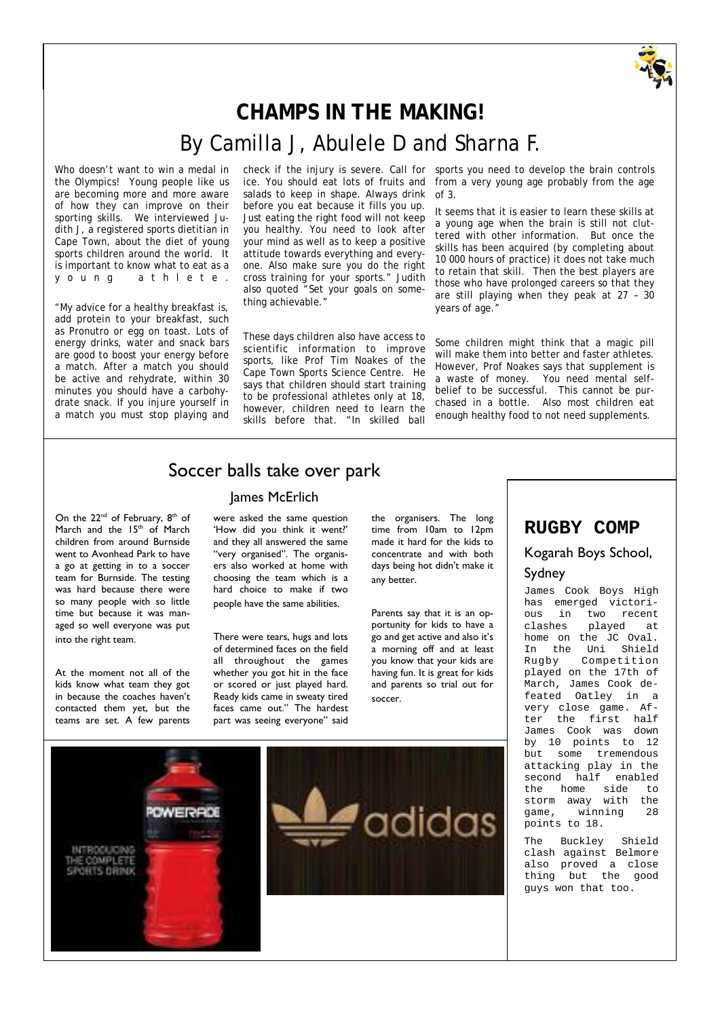

## **CHAMPS IN THE MAKING!**  By Camilla J, Abulele D and Sharna F.

Who doesn't want to win a medal in the Olympics! Young people like us are becoming more and more aware of how they can improve on their sporting skills. We interviewed Judith J, a registered sports dietitian in Cape Town, about the diet of young sports children around the world. It is important to know what to eat as a y o u n g a t h l e t e .

"My advice for a healthy breakfast is, add protein to your breakfast, such as Pronutro or egg on toast. Lots of energy drinks, water and snack bars are good to boost your energy before a match. After a match you should be active and rehydrate, within 30 minutes you should have a carbohydrate snack. If you injure yourself in a match you must stop playing and

check if the injury is severe. Call for ice. You should eat lots of fruits and salads to keep in shape. Always drink before you eat because it fills you up. Just eating the right food will not keep you healthy. You need to look after your mind as well as to keep a positive attitude towards everything and everyone. Also make sure you do the right cross training for your sports." Judith also quoted "Set your goals on something achievable."

These days children also have access to scientific information to improve sports, like Prof Tim Noakes of the Cape Town Sports Science Centre. He says that children should start training to be professional athletes only at 18, however, children need to learn the skills before that. "In skilled ball

sports you need to develop the brain controls from a very young age probably from the age of 3.

It seems that it is easier to learn these skills at a young age when the brain is still not cluttered with other information. But once the skills has been acquired (by completing about 10 000 hours of practice) it does not take much to retain that skill. Then the best players are those who have prolonged careers so that they are still playing when they peak at 27 – 30 years of age."

Some children might think that a magic pill will make them into better and faster athletes. However, Prof Noakes says that supplement is a waste of money. You need mental selfbelief to be successful. This cannot be purchased in a bottle. Also most children eat enough healthy food to not need supplements.

#### Soccer balls take over park

#### James McErlich

On the 22<sup>nd</sup> of February, 8<sup>th</sup> of March and the  $15<sup>th</sup>$  of March children from around Burnside went to Avonhead Park to have a go at getting in to a soccer team for Burnside. The testing was hard because there were so many people with so little time but because it was managed so well everyone was put into the right team.

At the moment not all of the kids know what team they got in because the coaches haven't contacted them yet, but the teams are set. A few parents

were asked the same question 'How did you think it went?' and they all answered the same "very organised". The organisers also worked at home with choosing the team which is a hard choice to make if two people have the same abilities.

There were tears, hugs and lots of determined faces on the field all throughout the games whether you got hit in the face or scored or just played hard. Ready kids came in sweaty tired faces came out." The hardest part was seeing everyone" said

the organisers. The long time from 10am to 12pm made it hard for the kids to concentrate and with both days being hot didn't make it any better.

Parents say that it is an opportunity for kids to have a go and get active and also it's a morning off and at least you know that your kids are having fun. It is great for kids and parents so trial out for soccer.



James Cook Boys High has emerged victorious in two recent<br>clashes played at played at home on the JC Oval. In the Uni Shield Rugby Competition played on the 17th of March, James Cook defeated Oatley in a very close game. After the first half James Cook was down by 10 points to 12 but some tremendous attacking play in the second half enabled the home side to storm away with the game, winning 28 points to 18.

The Buckley Shield clash against Belmore also proved a close thing but the good guys won that too.